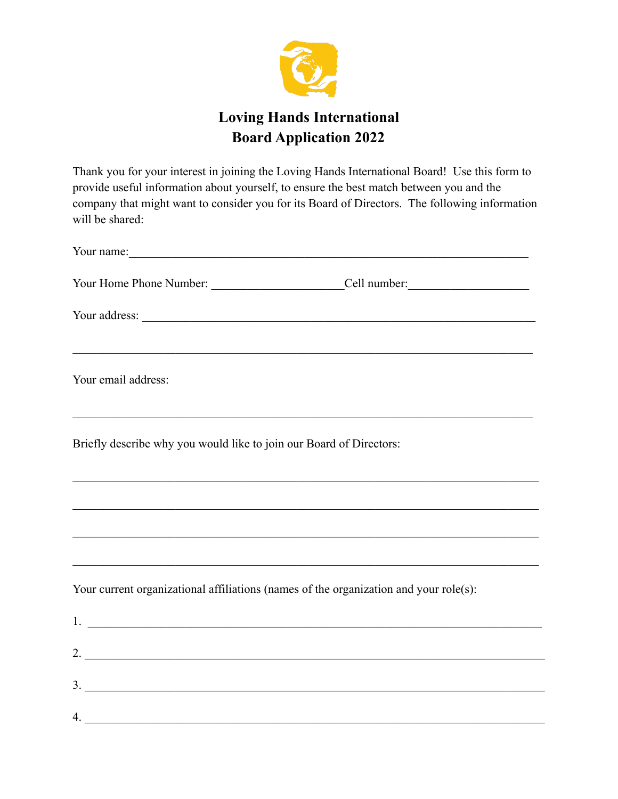

## **Loving Hands International Board Application 2022**

Thank you for your interest in joining the Loving Hands International Board! Use this form to provide useful information about yourself, to ensure the best match between you and the company that might want to consider you for its Board of Directors. The following information will be shared:

|                                                                     | Your name: <u>contained</u> and the contained and the contained and the contained and the contained and the contained and the contained and the contained and the contained and the contact of the contact of the contact of the co |
|---------------------------------------------------------------------|-------------------------------------------------------------------------------------------------------------------------------------------------------------------------------------------------------------------------------------|
|                                                                     |                                                                                                                                                                                                                                     |
|                                                                     |                                                                                                                                                                                                                                     |
| Your email address:                                                 | ,我们的人们就会在这里的人们,我们的人们就会在这里的人们,我们也不会在这里的人们,我们也不会在这里的人们,我们也不会在这里的人们,我们也不会在这里的人们,我们也                                                                                                                                                    |
| Briefly describe why you would like to join our Board of Directors: |                                                                                                                                                                                                                                     |
|                                                                     |                                                                                                                                                                                                                                     |
|                                                                     |                                                                                                                                                                                                                                     |
|                                                                     | Your current organizational affiliations (names of the organization and your role(s):                                                                                                                                               |
|                                                                     | $1.$ $\overline{\phantom{a}}$                                                                                                                                                                                                       |
|                                                                     |                                                                                                                                                                                                                                     |
|                                                                     | 3.                                                                                                                                                                                                                                  |
|                                                                     | 4.                                                                                                                                                                                                                                  |